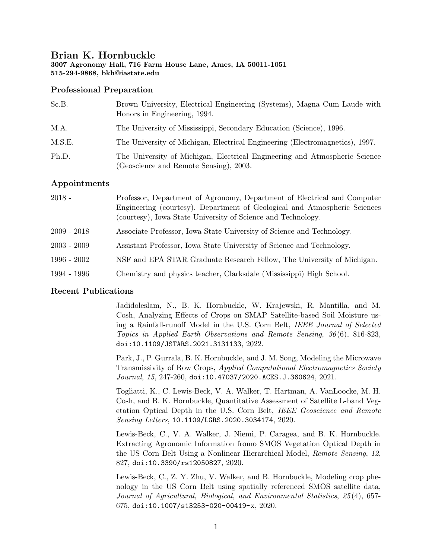# Brian K. Hornbuckle

3007 Agronomy Hall, 716 Farm House Lane, Ames, IA 50011-1051 515-294-9868, bkh@iastate.edu

# Professional Preparation

| Sc.B.  | Brown University, Electrical Engineering (Systems), Magna Cum Laude with<br>Honors in Engineering, 1994.             |
|--------|----------------------------------------------------------------------------------------------------------------------|
| M.A.   | The University of Mississippi, Secondary Education (Science), 1996.                                                  |
| M.S.E. | The University of Michigan, Electrical Engineering (Electromagnetics), 1997.                                         |
| Ph.D.  | The University of Michigan, Electrical Engineering and Atmospheric Science<br>(Geoscience and Remote Sensing), 2003. |

# Appointments

| $2018 -$      | Professor, Department of Agronomy, Department of Electrical and Computer<br>Engineering (courtesy), Department of Geological and Atmospheric Sciences<br>(courtesy), Iowa State University of Science and Technology. |
|---------------|-----------------------------------------------------------------------------------------------------------------------------------------------------------------------------------------------------------------------|
| $2009 - 2018$ | Associate Professor, Iowa State University of Science and Technology.                                                                                                                                                 |
| $2003 - 2009$ | Assistant Professor, Iowa State University of Science and Technology.                                                                                                                                                 |
| $1996 - 2002$ | NSF and EPA STAR Graduate Research Fellow, The University of Michigan.                                                                                                                                                |
| 1994 - 1996   | Chemistry and physics teacher, Clarksdale (Mississippi) High School.                                                                                                                                                  |

# Recent Publications

Jadidoleslam, N., B. K. Hornbuckle, W. Krajewski, R. Mantilla, and M. Cosh, Analyzing Effects of Crops on SMAP Satellite-based Soil Moisture using a Rainfall-runo↵ Model in the U.S. Corn Belt, *IEEE Journal of Selected Topics in Applied Earth Observations and Remote Sensing*, *36* (6), 816-823, doi:10.1109/JSTARS.2021.3131133, 2022.

Park, J., P. Gurrala, B. K. Hornbuckle, and J. M. Song, Modeling the Microwave Transmissivity of Row Crops, *Applied Computational Electromagnetics Society Journal*, *15*, 247-260, doi:10.47037/2020.ACES.J.360624, 2021.

Togliatti, K., C. Lewis-Beck, V. A. Walker, T. Hartman, A. VanLoocke, M. H. Cosh, and B. K. Hornbuckle, Quantitative Assessment of Satellite L-band Vegetation Optical Depth in the U.S. Corn Belt, *IEEE Geoscience and Remote Sensing Letters*, 10.1109/LGRS.2020.3034174, 2020.

Lewis-Beck, C., V. A. Walker, J. Niemi, P. Caragea, and B. K. Hornbuckle. Extracting Agronomic Information fromo SMOS Vegetation Optical Depth in the US Corn Belt Using a Nonlinear Hierarchical Model, *Remote Sensing*, *12*, 827, doi:10.3390/rs12050827, 2020.

Lewis-Beck, C., Z. Y. Zhu, V. Walker, and B. Hornbuckle, Modeling crop phenology in the US Corn Belt using spatially referenced SMOS satellite data, *Journal of Agricultural, Biological, and Environmental Statistics*, *25* (4), 657- 675, doi:10.1007/s13253-020-00419-x, 2020.